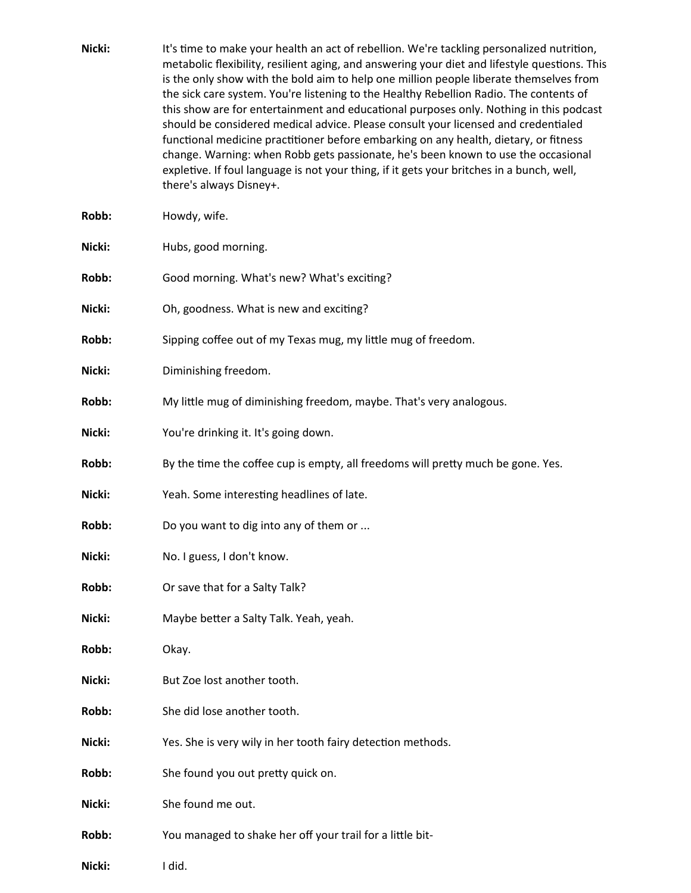| Nicki: | It's time to make your health an act of rebellion. We're tackling personalized nutrition,<br>metabolic flexibility, resilient aging, and answering your diet and lifestyle questions. This<br>is the only show with the bold aim to help one million people liberate themselves from<br>the sick care system. You're listening to the Healthy Rebellion Radio. The contents of<br>this show are for entertainment and educational purposes only. Nothing in this podcast<br>should be considered medical advice. Please consult your licensed and credentialed<br>functional medicine practitioner before embarking on any health, dietary, or fitness<br>change. Warning: when Robb gets passionate, he's been known to use the occasional<br>expletive. If foul language is not your thing, if it gets your britches in a bunch, well,<br>there's always Disney+. |
|--------|---------------------------------------------------------------------------------------------------------------------------------------------------------------------------------------------------------------------------------------------------------------------------------------------------------------------------------------------------------------------------------------------------------------------------------------------------------------------------------------------------------------------------------------------------------------------------------------------------------------------------------------------------------------------------------------------------------------------------------------------------------------------------------------------------------------------------------------------------------------------|
| Robb:  | Howdy, wife.                                                                                                                                                                                                                                                                                                                                                                                                                                                                                                                                                                                                                                                                                                                                                                                                                                                        |
| Nicki: | Hubs, good morning.                                                                                                                                                                                                                                                                                                                                                                                                                                                                                                                                                                                                                                                                                                                                                                                                                                                 |
| Robb:  | Good morning. What's new? What's exciting?                                                                                                                                                                                                                                                                                                                                                                                                                                                                                                                                                                                                                                                                                                                                                                                                                          |
| Nicki: | Oh, goodness. What is new and exciting?                                                                                                                                                                                                                                                                                                                                                                                                                                                                                                                                                                                                                                                                                                                                                                                                                             |
| Robb:  | Sipping coffee out of my Texas mug, my little mug of freedom.                                                                                                                                                                                                                                                                                                                                                                                                                                                                                                                                                                                                                                                                                                                                                                                                       |
| Nicki: | Diminishing freedom.                                                                                                                                                                                                                                                                                                                                                                                                                                                                                                                                                                                                                                                                                                                                                                                                                                                |
| Robb:  | My little mug of diminishing freedom, maybe. That's very analogous.                                                                                                                                                                                                                                                                                                                                                                                                                                                                                                                                                                                                                                                                                                                                                                                                 |
| Nicki: | You're drinking it. It's going down.                                                                                                                                                                                                                                                                                                                                                                                                                                                                                                                                                                                                                                                                                                                                                                                                                                |
| Robb:  | By the time the coffee cup is empty, all freedoms will pretty much be gone. Yes.                                                                                                                                                                                                                                                                                                                                                                                                                                                                                                                                                                                                                                                                                                                                                                                    |
| Nicki: | Yeah. Some interesting headlines of late.                                                                                                                                                                                                                                                                                                                                                                                                                                                                                                                                                                                                                                                                                                                                                                                                                           |
| Robb:  | Do you want to dig into any of them or                                                                                                                                                                                                                                                                                                                                                                                                                                                                                                                                                                                                                                                                                                                                                                                                                              |
| Nicki: | No. I guess, I don't know.                                                                                                                                                                                                                                                                                                                                                                                                                                                                                                                                                                                                                                                                                                                                                                                                                                          |
| Robb:  | Or save that for a Salty Talk?                                                                                                                                                                                                                                                                                                                                                                                                                                                                                                                                                                                                                                                                                                                                                                                                                                      |
| Nicki: | Maybe better a Salty Talk. Yeah, yeah.                                                                                                                                                                                                                                                                                                                                                                                                                                                                                                                                                                                                                                                                                                                                                                                                                              |
| Robb:  | Okay.                                                                                                                                                                                                                                                                                                                                                                                                                                                                                                                                                                                                                                                                                                                                                                                                                                                               |
| Nicki: | But Zoe lost another tooth.                                                                                                                                                                                                                                                                                                                                                                                                                                                                                                                                                                                                                                                                                                                                                                                                                                         |
| Robb:  | She did lose another tooth.                                                                                                                                                                                                                                                                                                                                                                                                                                                                                                                                                                                                                                                                                                                                                                                                                                         |
| Nicki: | Yes. She is very wily in her tooth fairy detection methods.                                                                                                                                                                                                                                                                                                                                                                                                                                                                                                                                                                                                                                                                                                                                                                                                         |
| Robb:  | She found you out pretty quick on.                                                                                                                                                                                                                                                                                                                                                                                                                                                                                                                                                                                                                                                                                                                                                                                                                                  |
| Nicki: | She found me out.                                                                                                                                                                                                                                                                                                                                                                                                                                                                                                                                                                                                                                                                                                                                                                                                                                                   |
| Robb:  | You managed to shake her off your trail for a little bit-                                                                                                                                                                                                                                                                                                                                                                                                                                                                                                                                                                                                                                                                                                                                                                                                           |
| Nicki: | I did.                                                                                                                                                                                                                                                                                                                                                                                                                                                                                                                                                                                                                                                                                                                                                                                                                                                              |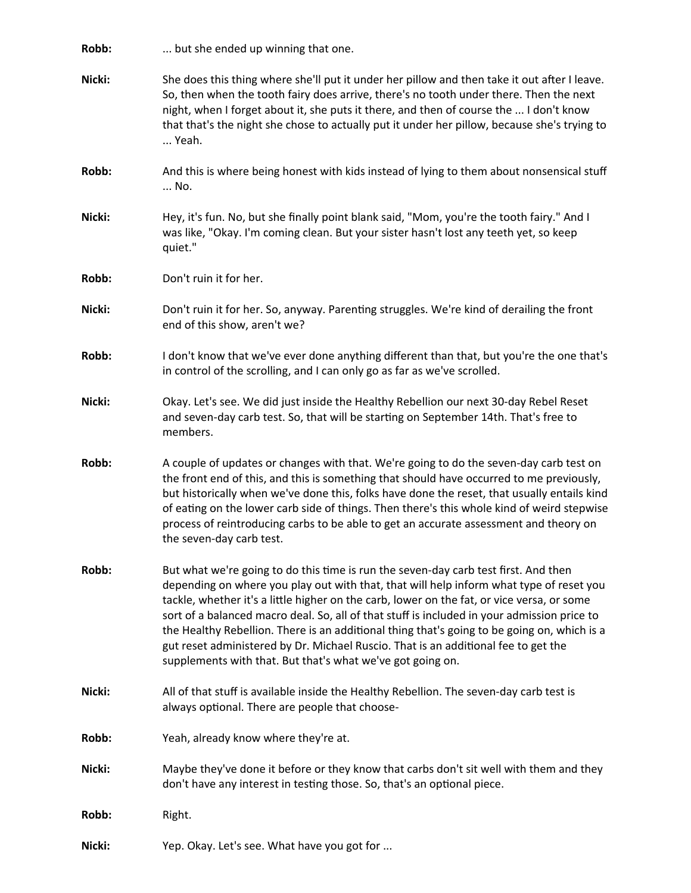| Robb:  | but she ended up winning that one.                                                                                                                                                                                                                                                                                                                                                                                                                                                                                                                                                                                             |
|--------|--------------------------------------------------------------------------------------------------------------------------------------------------------------------------------------------------------------------------------------------------------------------------------------------------------------------------------------------------------------------------------------------------------------------------------------------------------------------------------------------------------------------------------------------------------------------------------------------------------------------------------|
| Nicki: | She does this thing where she'll put it under her pillow and then take it out after I leave.<br>So, then when the tooth fairy does arrive, there's no tooth under there. Then the next<br>night, when I forget about it, she puts it there, and then of course the  I don't know<br>that that's the night she chose to actually put it under her pillow, because she's trying to<br>Yeah.                                                                                                                                                                                                                                      |
| Robb:  | And this is where being honest with kids instead of lying to them about nonsensical stuff<br>No.                                                                                                                                                                                                                                                                                                                                                                                                                                                                                                                               |
| Nicki: | Hey, it's fun. No, but she finally point blank said, "Mom, you're the tooth fairy." And I<br>was like, "Okay. I'm coming clean. But your sister hasn't lost any teeth yet, so keep<br>quiet."                                                                                                                                                                                                                                                                                                                                                                                                                                  |
| Robb:  | Don't ruin it for her.                                                                                                                                                                                                                                                                                                                                                                                                                                                                                                                                                                                                         |
| Nicki: | Don't ruin it for her. So, anyway. Parenting struggles. We're kind of derailing the front<br>end of this show, aren't we?                                                                                                                                                                                                                                                                                                                                                                                                                                                                                                      |
| Robb:  | I don't know that we've ever done anything different than that, but you're the one that's<br>in control of the scrolling, and I can only go as far as we've scrolled.                                                                                                                                                                                                                                                                                                                                                                                                                                                          |
| Nicki: | Okay. Let's see. We did just inside the Healthy Rebellion our next 30-day Rebel Reset<br>and seven-day carb test. So, that will be starting on September 14th. That's free to<br>members.                                                                                                                                                                                                                                                                                                                                                                                                                                      |
| Robb:  | A couple of updates or changes with that. We're going to do the seven-day carb test on<br>the front end of this, and this is something that should have occurred to me previously,<br>but historically when we've done this, folks have done the reset, that usually entails kind<br>of eating on the lower carb side of things. Then there's this whole kind of weird stepwise<br>process of reintroducing carbs to be able to get an accurate assessment and theory on<br>the seven-day carb test.                                                                                                                           |
| Robb:  | But what we're going to do this time is run the seven-day carb test first. And then<br>depending on where you play out with that, that will help inform what type of reset you<br>tackle, whether it's a little higher on the carb, lower on the fat, or vice versa, or some<br>sort of a balanced macro deal. So, all of that stuff is included in your admission price to<br>the Healthy Rebellion. There is an additional thing that's going to be going on, which is a<br>gut reset administered by Dr. Michael Ruscio. That is an additional fee to get the<br>supplements with that. But that's what we've got going on. |
| Nicki: | All of that stuff is available inside the Healthy Rebellion. The seven-day carb test is<br>always optional. There are people that choose-                                                                                                                                                                                                                                                                                                                                                                                                                                                                                      |
| Robb:  | Yeah, already know where they're at.                                                                                                                                                                                                                                                                                                                                                                                                                                                                                                                                                                                           |
| Nicki: | Maybe they've done it before or they know that carbs don't sit well with them and they<br>don't have any interest in testing those. So, that's an optional piece.                                                                                                                                                                                                                                                                                                                                                                                                                                                              |
| Robb:  | Right.                                                                                                                                                                                                                                                                                                                                                                                                                                                                                                                                                                                                                         |
| Nicki: | Yep. Okay. Let's see. What have you got for                                                                                                                                                                                                                                                                                                                                                                                                                                                                                                                                                                                    |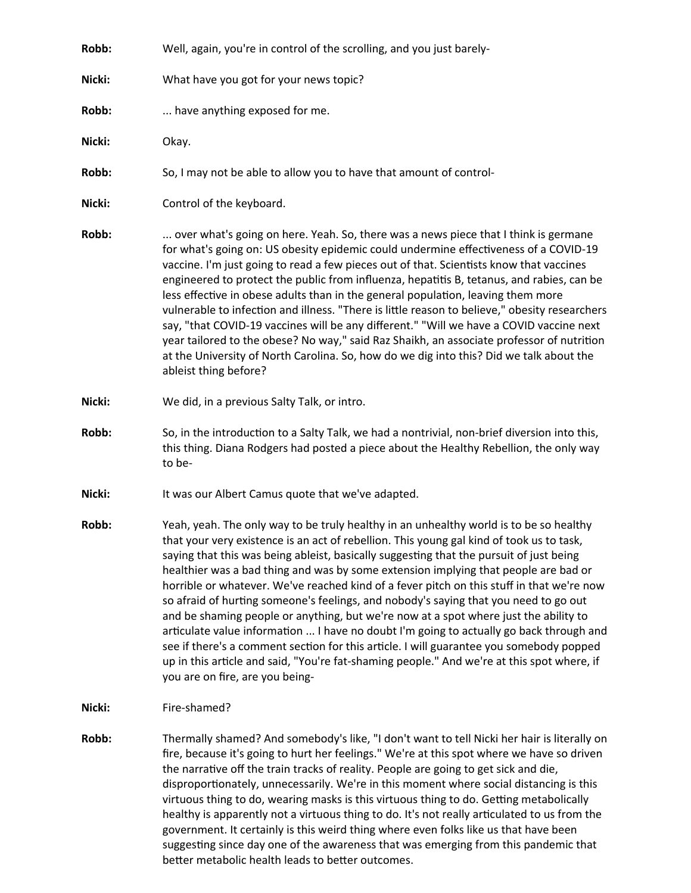| Robb:  | Well, again, you're in control of the scrolling, and you just barely-                                                                                                                                                                                                                                                                                                                                                                                                                                                                                                                                                                                                                                                                                                                                                                                                                                                                 |
|--------|---------------------------------------------------------------------------------------------------------------------------------------------------------------------------------------------------------------------------------------------------------------------------------------------------------------------------------------------------------------------------------------------------------------------------------------------------------------------------------------------------------------------------------------------------------------------------------------------------------------------------------------------------------------------------------------------------------------------------------------------------------------------------------------------------------------------------------------------------------------------------------------------------------------------------------------|
| Nicki: | What have you got for your news topic?                                                                                                                                                                                                                                                                                                                                                                                                                                                                                                                                                                                                                                                                                                                                                                                                                                                                                                |
| Robb:  | have anything exposed for me.                                                                                                                                                                                                                                                                                                                                                                                                                                                                                                                                                                                                                                                                                                                                                                                                                                                                                                         |
| Nicki: | Okay.                                                                                                                                                                                                                                                                                                                                                                                                                                                                                                                                                                                                                                                                                                                                                                                                                                                                                                                                 |
| Robb:  | So, I may not be able to allow you to have that amount of control-                                                                                                                                                                                                                                                                                                                                                                                                                                                                                                                                                                                                                                                                                                                                                                                                                                                                    |
| Nicki: | Control of the keyboard.                                                                                                                                                                                                                                                                                                                                                                                                                                                                                                                                                                                                                                                                                                                                                                                                                                                                                                              |
| Robb:  | over what's going on here. Yeah. So, there was a news piece that I think is germane<br>for what's going on: US obesity epidemic could undermine effectiveness of a COVID-19<br>vaccine. I'm just going to read a few pieces out of that. Scientists know that vaccines<br>engineered to protect the public from influenza, hepatitis B, tetanus, and rabies, can be<br>less effective in obese adults than in the general population, leaving them more<br>vulnerable to infection and illness. "There is little reason to believe," obesity researchers<br>say, "that COVID-19 vaccines will be any different." "Will we have a COVID vaccine next<br>year tailored to the obese? No way," said Raz Shaikh, an associate professor of nutrition<br>at the University of North Carolina. So, how do we dig into this? Did we talk about the<br>ableist thing before?                                                                  |
| Nicki: | We did, in a previous Salty Talk, or intro.                                                                                                                                                                                                                                                                                                                                                                                                                                                                                                                                                                                                                                                                                                                                                                                                                                                                                           |
| Robb:  | So, in the introduction to a Salty Talk, we had a nontrivial, non-brief diversion into this,<br>this thing. Diana Rodgers had posted a piece about the Healthy Rebellion, the only way<br>to be-                                                                                                                                                                                                                                                                                                                                                                                                                                                                                                                                                                                                                                                                                                                                      |
| Nicki: | It was our Albert Camus quote that we've adapted.                                                                                                                                                                                                                                                                                                                                                                                                                                                                                                                                                                                                                                                                                                                                                                                                                                                                                     |
| Robb:  | Yeah, yeah. The only way to be truly healthy in an unhealthy world is to be so healthy<br>that your very existence is an act of rebellion. This young gal kind of took us to task,<br>saying that this was being ableist, basically suggesting that the pursuit of just being<br>healthier was a bad thing and was by some extension implying that people are bad or<br>horrible or whatever. We've reached kind of a fever pitch on this stuff in that we're now<br>so afraid of hurting someone's feelings, and nobody's saying that you need to go out<br>and be shaming people or anything, but we're now at a spot where just the ability to<br>articulate value information  I have no doubt I'm going to actually go back through and<br>see if there's a comment section for this article. I will guarantee you somebody popped<br>up in this article and said, "You're fat-shaming people." And we're at this spot where, if |

**Nicki:** Fire-shamed?

you are on fire, are you being-

**Robb:** Thermally shamed? And somebody's like, "I don't want to tell Nicki her hair is literally on fire, because it's going to hurt her feelings." We're at this spot where we have so driven the narrative off the train tracks of reality. People are going to get sick and die, disproportionately, unnecessarily. We're in this moment where social distancing is this virtuous thing to do, wearing masks is this virtuous thing to do. Getting metabolically healthy is apparently not a virtuous thing to do. It's not really articulated to us from the government. It certainly is this weird thing where even folks like us that have been suggesting since day one of the awareness that was emerging from this pandemic that better metabolic health leads to better outcomes.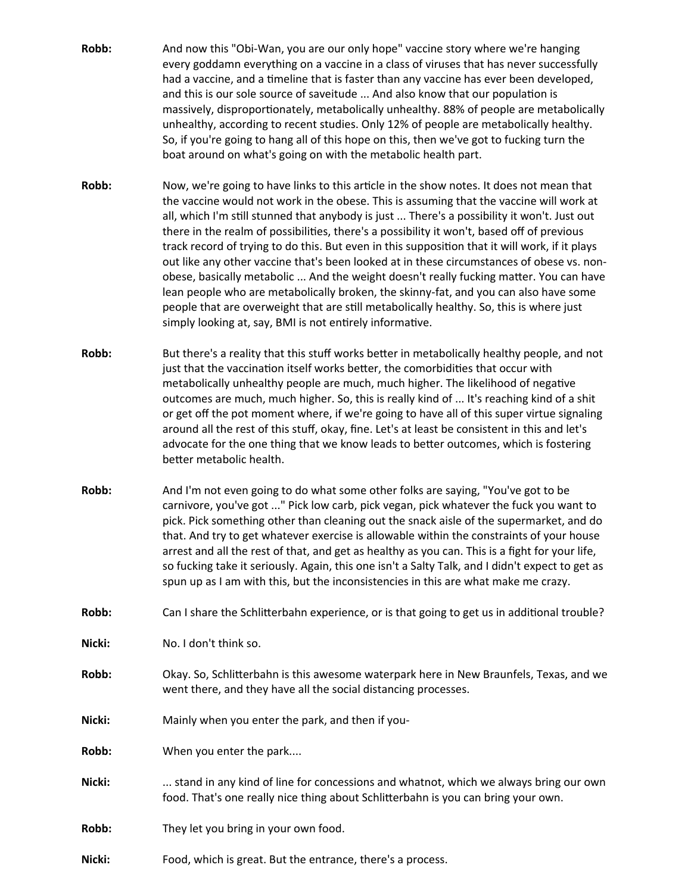- **Robb:** And now this "Obi-Wan, you are our only hope" vaccine story where we're hanging every goddamn everything on a vaccine in a class of viruses that has never successfully had a vaccine, and a timeline that is faster than any vaccine has ever been developed, and this is our sole source of saveitude ... And also know that our population is massively, disproportionately, metabolically unhealthy. 88% of people are metabolically unhealthy, according to recent studies. Only 12% of people are metabolically healthy. So, if you're going to hang all of this hope on this, then we've got to fucking turn the boat around on what's going on with the metabolic health part.
- **Robb:** Now, we're going to have links to this article in the show notes. It does not mean that the vaccine would not work in the obese. This is assuming that the vaccine will work at all, which I'm still stunned that anybody is just ... There's a possibility it won't. Just out there in the realm of possibilities, there's a possibility it won't, based off of previous track record of trying to do this. But even in this supposition that it will work, if it plays out like any other vaccine that's been looked at in these circumstances of obese vs. nonobese, basically metabolic ... And the weight doesn't really fucking matter. You can have lean people who are metabolically broken, the skinny-fat, and you can also have some people that are overweight that are still metabolically healthy. So, this is where just simply looking at, say, BMI is not entirely informative.
- **Robb:** But there's a reality that this stuff works better in metabolically healthy people, and not just that the vaccination itself works better, the comorbidities that occur with metabolically unhealthy people are much, much higher. The likelihood of negative outcomes are much, much higher. So, this is really kind of ... It's reaching kind of a shit or get off the pot moment where, if we're going to have all of this super virtue signaling around all the rest of this stuff, okay, fine. Let's at least be consistent in this and let's advocate for the one thing that we know leads to better outcomes, which is fostering better metabolic health.
- **Robb:** And I'm not even going to do what some other folks are saying, "You've got to be carnivore, you've got ..." Pick low carb, pick vegan, pick whatever the fuck you want to pick. Pick something other than cleaning out the snack aisle of the supermarket, and do that. And try to get whatever exercise is allowable within the constraints of your house arrest and all the rest of that, and get as healthy as you can. This is a fight for your life, so fucking take it seriously. Again, this one isn't a Salty Talk, and I didn't expect to get as spun up as I am with this, but the inconsistencies in this are what make me crazy.
- Robb: Can I share the Schlitterbahn experience, or is that going to get us in additional trouble?
- **Nicki:** No. I don't think so.
- **Robb:** Okay. So, Schlitterbahn is this awesome waterpark here in New Braunfels, Texas, and we went there, and they have all the social distancing processes.
- **Nicki:** Mainly when you enter the park, and then if you-
- **Robb:** When you enter the park....
- **Nicki:** ... stand in any kind of line for concessions and whatnot, which we always bring our own food. That's one really nice thing about Schlitterbahn is you can bring your own.
- **Robb:** They let you bring in your own food.
- **Nicki:** Food, which is great. But the entrance, there's a process.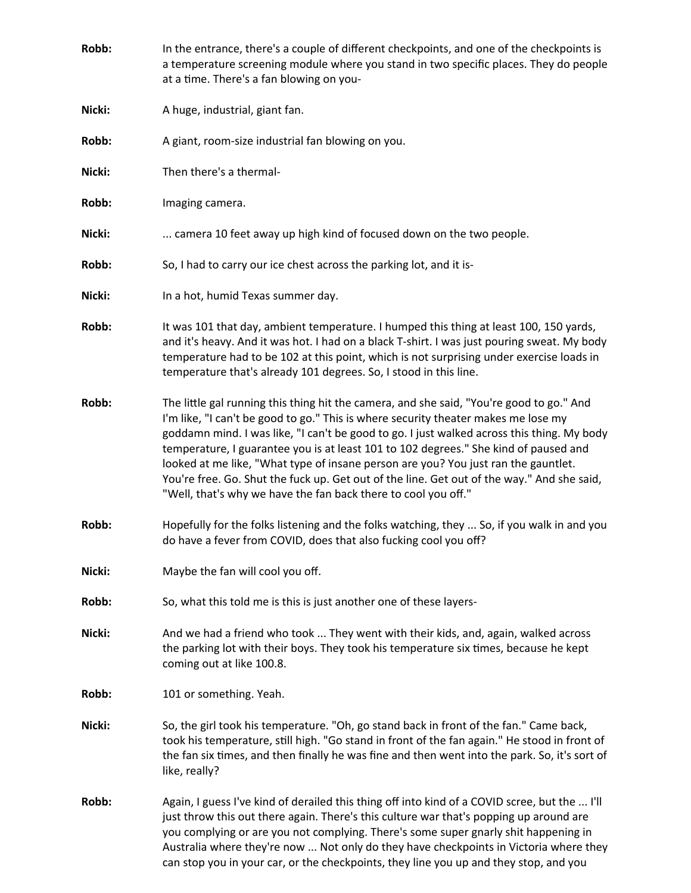| Robb:  | In the entrance, there's a couple of different checkpoints, and one of the checkpoints is<br>a temperature screening module where you stand in two specific places. They do people<br>at a time. There's a fan blowing on you-                                                                                                                                                                                                                                                                                                                                                                                             |
|--------|----------------------------------------------------------------------------------------------------------------------------------------------------------------------------------------------------------------------------------------------------------------------------------------------------------------------------------------------------------------------------------------------------------------------------------------------------------------------------------------------------------------------------------------------------------------------------------------------------------------------------|
| Nicki: | A huge, industrial, giant fan.                                                                                                                                                                                                                                                                                                                                                                                                                                                                                                                                                                                             |
| Robb:  | A giant, room-size industrial fan blowing on you.                                                                                                                                                                                                                                                                                                                                                                                                                                                                                                                                                                          |
| Nicki: | Then there's a thermal-                                                                                                                                                                                                                                                                                                                                                                                                                                                                                                                                                                                                    |
| Robb:  | Imaging camera.                                                                                                                                                                                                                                                                                                                                                                                                                                                                                                                                                                                                            |
| Nicki: | camera 10 feet away up high kind of focused down on the two people.                                                                                                                                                                                                                                                                                                                                                                                                                                                                                                                                                        |
| Robb:  | So, I had to carry our ice chest across the parking lot, and it is-                                                                                                                                                                                                                                                                                                                                                                                                                                                                                                                                                        |
| Nicki: | In a hot, humid Texas summer day.                                                                                                                                                                                                                                                                                                                                                                                                                                                                                                                                                                                          |
| Robb:  | It was 101 that day, ambient temperature. I humped this thing at least 100, 150 yards,<br>and it's heavy. And it was hot. I had on a black T-shirt. I was just pouring sweat. My body<br>temperature had to be 102 at this point, which is not surprising under exercise loads in<br>temperature that's already 101 degrees. So, I stood in this line.                                                                                                                                                                                                                                                                     |
| Robb:  | The little gal running this thing hit the camera, and she said, "You're good to go." And<br>I'm like, "I can't be good to go." This is where security theater makes me lose my<br>goddamn mind. I was like, "I can't be good to go. I just walked across this thing. My body<br>temperature, I guarantee you is at least 101 to 102 degrees." She kind of paused and<br>looked at me like, "What type of insane person are you? You just ran the gauntlet.<br>You're free. Go. Shut the fuck up. Get out of the line. Get out of the way." And she said,<br>"Well, that's why we have the fan back there to cool you off." |
| Robb:  | Hopefully for the folks listening and the folks watching, they  So, if you walk in and you<br>do have a fever from COVID, does that also fucking cool you off?                                                                                                                                                                                                                                                                                                                                                                                                                                                             |
| Nicki: | Maybe the fan will cool you off.                                                                                                                                                                                                                                                                                                                                                                                                                                                                                                                                                                                           |
| Robb:  | So, what this told me is this is just another one of these layers-                                                                                                                                                                                                                                                                                                                                                                                                                                                                                                                                                         |
| Nicki: | And we had a friend who took  They went with their kids, and, again, walked across<br>the parking lot with their boys. They took his temperature six times, because he kept<br>coming out at like 100.8.                                                                                                                                                                                                                                                                                                                                                                                                                   |
| Robb:  | 101 or something. Yeah.                                                                                                                                                                                                                                                                                                                                                                                                                                                                                                                                                                                                    |
| Nicki: | So, the girl took his temperature. "Oh, go stand back in front of the fan." Came back,<br>took his temperature, still high. "Go stand in front of the fan again." He stood in front of<br>the fan six times, and then finally he was fine and then went into the park. So, it's sort of<br>like, really?                                                                                                                                                                                                                                                                                                                   |
| Robb:  | Again, I guess I've kind of derailed this thing off into kind of a COVID scree, but the  I'll<br>just throw this out there again. There's this culture war that's popping up around are<br>you complying or are you not complying. There's some super gnarly shit happening in<br>Australia where they're now  Not only do they have checkpoints in Victoria where they<br>can stop you in your car, or the checkpoints, they line you up and they stop, and you                                                                                                                                                           |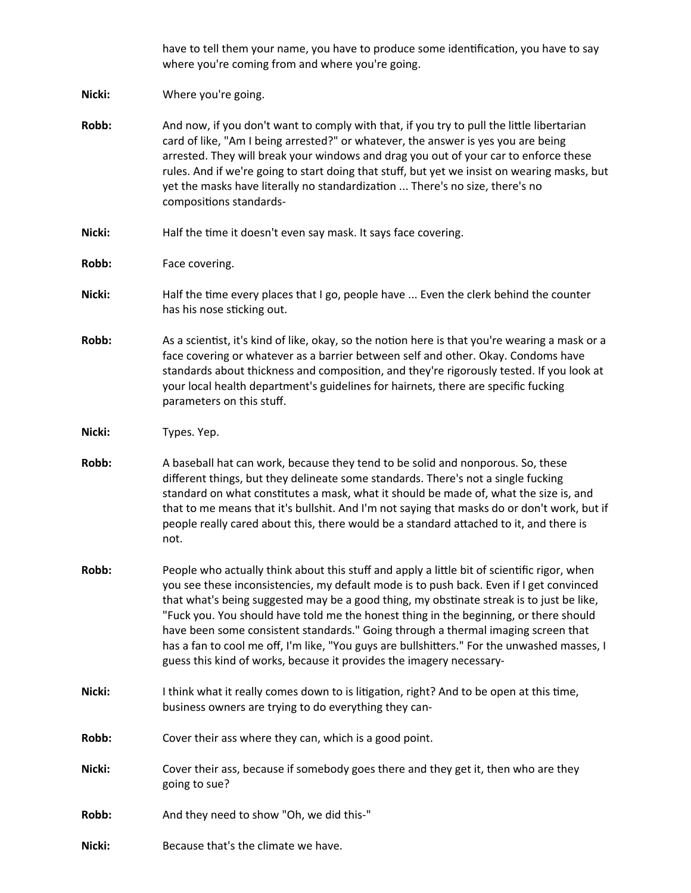have to tell them your name, you have to produce some identification, you have to say where you're coming from and where you're going.

**Nicki:** Where you're going.

- **Robb:** And now, if you don't want to comply with that, if you try to pull the little libertarian card of like, "Am I being arrested?" or whatever, the answer is yes you are being arrested. They will break your windows and drag you out of your car to enforce these rules. And if we're going to start doing that stuff, but yet we insist on wearing masks, but yet the masks have literally no standardization ... There's no size, there's no compositions standards-
- Nicki: Half the time it doesn't even say mask. It says face covering.
- **Robb:** Face covering.
- **Nicki:** Half the time every places that I go, people have ... Even the clerk behind the counter has his nose sticking out.
- **Robb:** As a scientist, it's kind of like, okay, so the notion here is that you're wearing a mask or a face covering or whatever as a barrier between self and other. Okay. Condoms have standards about thickness and composition, and they're rigorously tested. If you look at your local health department's guidelines for hairnets, there are specific fucking parameters on this stuff.
- **Nicki:** Types. Yep.
- **Robb:** A baseball hat can work, because they tend to be solid and nonporous. So, these different things, but they delineate some standards. There's not a single fucking standard on what constitutes a mask, what it should be made of, what the size is, and that to me means that it's bullshit. And I'm not saying that masks do or don't work, but if people really cared about this, there would be a standard attached to it, and there is not.
- **Robb:** People who actually think about this stuff and apply a little bit of scientific rigor, when you see these inconsistencies, my default mode is to push back. Even if I get convinced that what's being suggested may be a good thing, my obstinate streak is to just be like, "Fuck you. You should have told me the honest thing in the beginning, or there should have been some consistent standards." Going through a thermal imaging screen that has a fan to cool me off, I'm like, "You guys are bullshitters." For the unwashed masses, I guess this kind of works, because it provides the imagery necessary-
- **Nicki:** I think what it really comes down to is litigation, right? And to be open at this time, business owners are trying to do everything they can-
- **Robb:** Cover their ass where they can, which is a good point.
- **Nicki:** Cover their ass, because if somebody goes there and they get it, then who are they going to sue?
- **Robb:** And they need to show "Oh, we did this-"
- **Nicki:** Because that's the climate we have.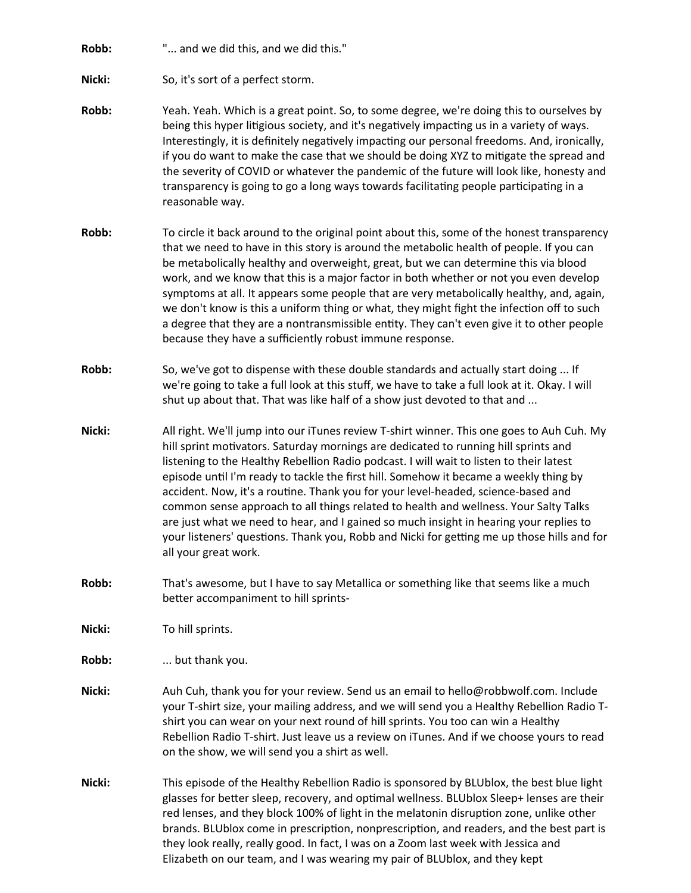**Robb:** "... and we did this, and we did this."

**Nicki:** So, it's sort of a perfect storm.

- **Robb:** Yeah. Yeah. Which is a great point. So, to some degree, we're doing this to ourselves by being this hyper litigious society, and it's negatively impacting us in a variety of ways. Interestingly, it is definitely negatively impacting our personal freedoms. And, ironically, if you do want to make the case that we should be doing XYZ to mitigate the spread and the severity of COVID or whatever the pandemic of the future will look like, honesty and transparency is going to go a long ways towards facilitating people participating in a reasonable way.
- **Robb:** To circle it back around to the original point about this, some of the honest transparency that we need to have in this story is around the metabolic health of people. If you can be metabolically healthy and overweight, great, but we can determine this via blood work, and we know that this is a major factor in both whether or not you even develop symptoms at all. It appears some people that are very metabolically healthy, and, again, we don't know is this a uniform thing or what, they might fight the infection off to such a degree that they are a nontransmissible entity. They can't even give it to other people because they have a sufficiently robust immune response.
- **Robb:** So, we've got to dispense with these double standards and actually start doing ... If we're going to take a full look at this stuff, we have to take a full look at it. Okay. I will shut up about that. That was like half of a show just devoted to that and ...
- **Nicki:** All right. We'll jump into our iTunes review T-shirt winner. This one goes to Auh Cuh. My hill sprint motivators. Saturday mornings are dedicated to running hill sprints and listening to the Healthy Rebellion Radio podcast. I will wait to listen to their latest episode until I'm ready to tackle the first hill. Somehow it became a weekly thing by accident. Now, it's a routine. Thank you for your level-headed, science-based and common sense approach to all things related to health and wellness. Your Salty Talks are just what we need to hear, and I gained so much insight in hearing your replies to your listeners' questions. Thank you, Robb and Nicki for getting me up those hills and for all your great work.
- **Robb:** That's awesome, but I have to say Metallica or something like that seems like a much better accompaniment to hill sprints-
- **Nicki:** To hill sprints.

**Robb:** ... but thank you.

- **Nicki:** Auh Cuh, thank you for your review. Send us an email to hello@robbwolf.com. Include your T-shirt size, your mailing address, and we will send you a Healthy Rebellion Radio Tshirt you can wear on your next round of hill sprints. You too can win a Healthy Rebellion Radio T-shirt. Just leave us a review on iTunes. And if we choose yours to read on the show, we will send you a shirt as well.
- **Nicki:** This episode of the Healthy Rebellion Radio is sponsored by BLUblox, the best blue light glasses for better sleep, recovery, and optimal wellness. BLUblox Sleep+ lenses are their red lenses, and they block 100% of light in the melatonin disruption zone, unlike other brands. BLUblox come in prescription, nonprescription, and readers, and the best part is they look really, really good. In fact, I was on a Zoom last week with Jessica and Elizabeth on our team, and I was wearing my pair of BLUblox, and they kept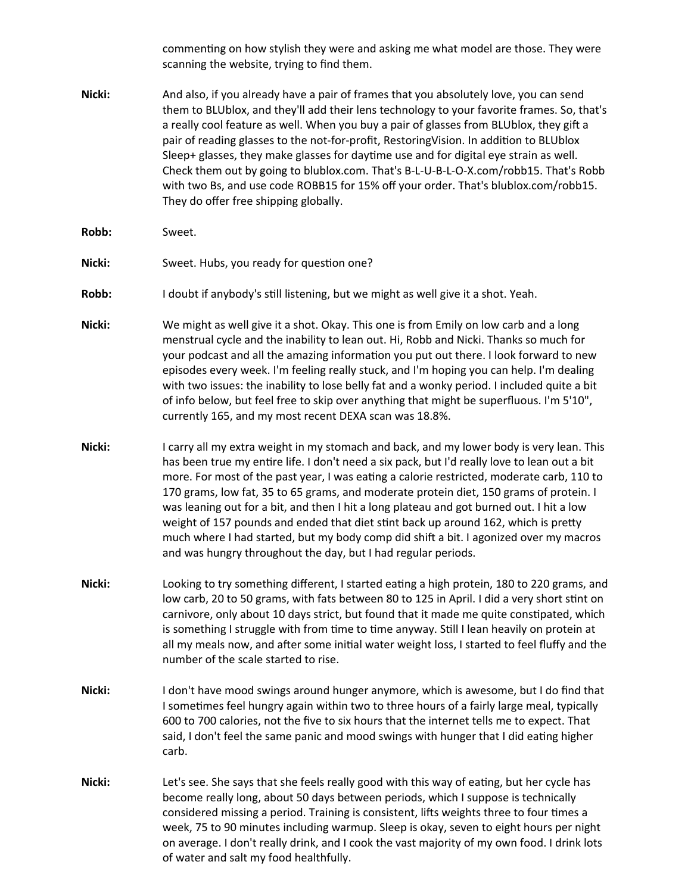commenting on how stylish they were and asking me what model are those. They were scanning the website, trying to find them.

- **Nicki:** And also, if you already have a pair of frames that you absolutely love, you can send them to BLUblox, and they'll add their lens technology to your favorite frames. So, that's a really cool feature as well. When you buy a pair of glasses from BLUblox, they gift a pair of reading glasses to the not-for-profit, RestoringVision. In addition to BLUblox Sleep+ glasses, they make glasses for daytime use and for digital eye strain as well. Check them out by going to blublox.com. That's B-L-U-B-L-O-X.com/robb15. That's Robb with two Bs, and use code ROBB15 for 15% off your order. That's blublox.com/robb15. They do offer free shipping globally.
- **Robb:** Sweet.
- Nicki: Sweet. Hubs, you ready for question one?
- **Robb:** I doubt if anybody's still listening, but we might as well give it a shot. Yeah.
- **Nicki:** We might as well give it a shot. Okay. This one is from Emily on low carb and a long menstrual cycle and the inability to lean out. Hi, Robb and Nicki. Thanks so much for your podcast and all the amazing information you put out there. I look forward to new episodes every week. I'm feeling really stuck, and I'm hoping you can help. I'm dealing with two issues: the inability to lose belly fat and a wonky period. I included quite a bit of info below, but feel free to skip over anything that might be superfluous. I'm 5'10", currently 165, and my most recent DEXA scan was 18.8%.
- **Nicki:** I carry all my extra weight in my stomach and back, and my lower body is very lean. This has been true my entire life. I don't need a six pack, but I'd really love to lean out a bit more. For most of the past year, I was eating a calorie restricted, moderate carb, 110 to 170 grams, low fat, 35 to 65 grams, and moderate protein diet, 150 grams of protein. I was leaning out for a bit, and then I hit a long plateau and got burned out. I hit a low weight of 157 pounds and ended that diet stint back up around 162, which is pretty much where I had started, but my body comp did shift a bit. I agonized over my macros and was hungry throughout the day, but I had regular periods.
- **Nicki:** Looking to try something different, I started eating a high protein, 180 to 220 grams, and low carb, 20 to 50 grams, with fats between 80 to 125 in April. I did a very short stint on carnivore, only about 10 days strict, but found that it made me quite constipated, which is something I struggle with from time to time anyway. Still I lean heavily on protein at all my meals now, and after some initial water weight loss, I started to feel fluffy and the number of the scale started to rise.
- **Nicki:** I don't have mood swings around hunger anymore, which is awesome, but I do find that I sometimes feel hungry again within two to three hours of a fairly large meal, typically 600 to 700 calories, not the five to six hours that the internet tells me to expect. That said, I don't feel the same panic and mood swings with hunger that I did eating higher carb.
- **Nicki:** Let's see. She says that she feels really good with this way of eating, but her cycle has become really long, about 50 days between periods, which I suppose is technically considered missing a period. Training is consistent, lifts weights three to four times a week, 75 to 90 minutes including warmup. Sleep is okay, seven to eight hours per night on average. I don't really drink, and I cook the vast majority of my own food. I drink lots of water and salt my food healthfully.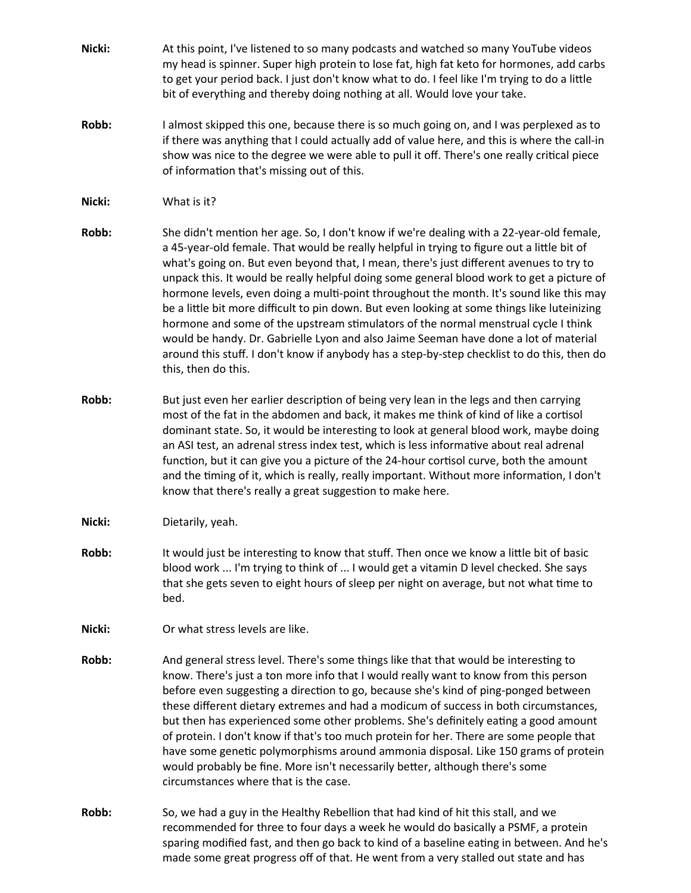- **Nicki:** At this point, I've listened to so many podcasts and watched so many YouTube videos my head is spinner. Super high protein to lose fat, high fat keto for hormones, add carbs to get your period back. I just don't know what to do. I feel like I'm trying to do a little bit of everything and thereby doing nothing at all. Would love your take.
- **Robb:** I almost skipped this one, because there is so much going on, and I was perplexed as to if there was anything that I could actually add of value here, and this is where the call-in show was nice to the degree we were able to pull it off. There's one really critical piece of information that's missing out of this.
- **Nicki:** What is it?
- **Robb:** She didn't mention her age. So, I don't know if we're dealing with a 22-year-old female, a 45-year-old female. That would be really helpful in trying to figure out a little bit of what's going on. But even beyond that, I mean, there's just different avenues to try to unpack this. It would be really helpful doing some general blood work to get a picture of hormone levels, even doing a multi-point throughout the month. It's sound like this may be a little bit more difficult to pin down. But even looking at some things like luteinizing hormone and some of the upstream stimulators of the normal menstrual cycle I think would be handy. Dr. Gabrielle Lyon and also Jaime Seeman have done a lot of material around this stuff. I don't know if anybody has a step-by-step checklist to do this, then do this, then do this.
- **Robb:** But just even her earlier description of being very lean in the legs and then carrying most of the fat in the abdomen and back, it makes me think of kind of like a cortisol dominant state. So, it would be interesting to look at general blood work, maybe doing an ASI test, an adrenal stress index test, which is less informative about real adrenal function, but it can give you a picture of the 24-hour cortisol curve, both the amount and the timing of it, which is really, really important. Without more information, I don't know that there's really a great suggestion to make here.
- **Nicki:** Dietarily, yeah.
- **Robb:** It would just be interesting to know that stuff. Then once we know a little bit of basic blood work ... I'm trying to think of ... I would get a vitamin D level checked. She says that she gets seven to eight hours of sleep per night on average, but not what time to bed.
- **Nicki:** Or what stress levels are like.
- **Robb:** And general stress level. There's some things like that that would be interesting to know. There's just a ton more info that I would really want to know from this person before even suggesting a direction to go, because she's kind of ping-ponged between these different dietary extremes and had a modicum of success in both circumstances, but then has experienced some other problems. She's definitely eating a good amount of protein. I don't know if that's too much protein for her. There are some people that have some genetic polymorphisms around ammonia disposal. Like 150 grams of protein would probably be fine. More isn't necessarily better, although there's some circumstances where that is the case.
- **Robb:** So, we had a guy in the Healthy Rebellion that had kind of hit this stall, and we recommended for three to four days a week he would do basically a PSMF, a protein sparing modified fast, and then go back to kind of a baseline eating in between. And he's made some great progress off of that. He went from a very stalled out state and has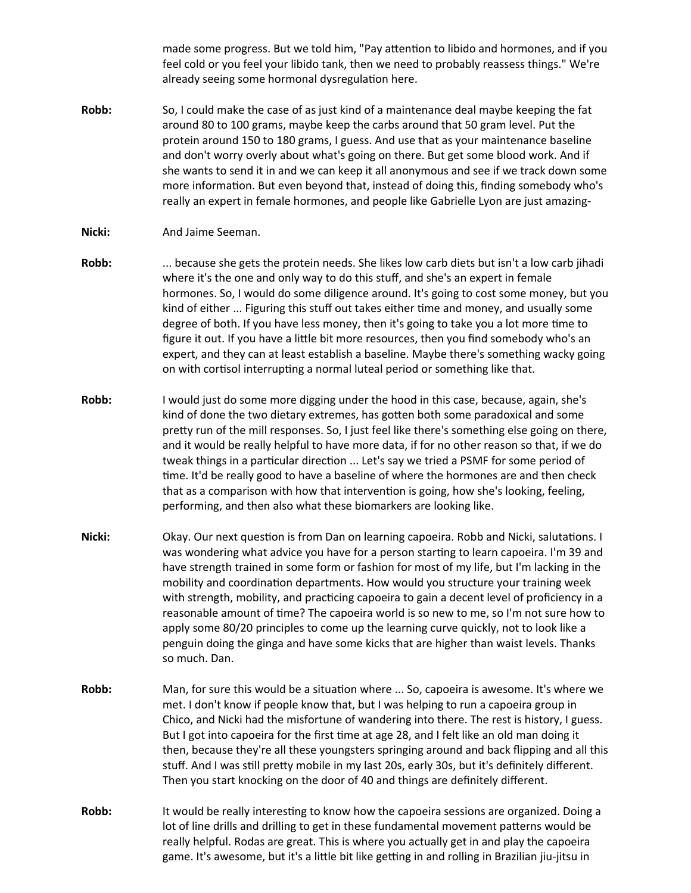made some progress. But we told him, "Pay attention to libido and hormones, and if you feel cold or you feel your libido tank, then we need to probably reassess things." We're already seeing some hormonal dysregulation here.

- **Robb:** So, I could make the case of as just kind of a maintenance deal maybe keeping the fat around 80 to 100 grams, maybe keep the carbs around that 50 gram level. Put the protein around 150 to 180 grams, I guess. And use that as your maintenance baseline and don't worry overly about what's going on there. But get some blood work. And if she wants to send it in and we can keep it all anonymous and see if we track down some more information. But even beyond that, instead of doing this, finding somebody who's really an expert in female hormones, and people like Gabrielle Lyon are just amazing-
- **Nicki:** And Jaime Seeman.
- **Robb:** ... because she gets the protein needs. She likes low carb diets but isn't a low carb jihadi where it's the one and only way to do this stuff, and she's an expert in female hormones. So, I would do some diligence around. It's going to cost some money, but you kind of either ... Figuring this stuff out takes either time and money, and usually some degree of both. If you have less money, then it's going to take you a lot more time to figure it out. If you have a little bit more resources, then you find somebody who's an expert, and they can at least establish a baseline. Maybe there's something wacky going on with cortisol interrupting a normal luteal period or something like that.
- **Robb:** I would just do some more digging under the hood in this case, because, again, she's kind of done the two dietary extremes, has gotten both some paradoxical and some pretty run of the mill responses. So, I just feel like there's something else going on there, and it would be really helpful to have more data, if for no other reason so that, if we do tweak things in a particular direction ... Let's say we tried a PSMF for some period of time. It'd be really good to have a baseline of where the hormones are and then check that as a comparison with how that intervention is going, how she's looking, feeling, performing, and then also what these biomarkers are looking like.
- **Nicki:** Okay. Our next question is from Dan on learning capoeira. Robb and Nicki, salutations. I was wondering what advice you have for a person starting to learn capoeira. I'm 39 and have strength trained in some form or fashion for most of my life, but I'm lacking in the mobility and coordination departments. How would you structure your training week with strength, mobility, and practicing capoeira to gain a decent level of proficiency in a reasonable amount of time? The capoeira world is so new to me, so I'm not sure how to apply some 80/20 principles to come up the learning curve quickly, not to look like a penguin doing the ginga and have some kicks that are higher than waist levels. Thanks so much. Dan.
- **Robb:** Man, for sure this would be a situation where ... So, capoeira is awesome. It's where we met. I don't know if people know that, but I was helping to run a capoeira group in Chico, and Nicki had the misfortune of wandering into there. The rest is history, I guess. But I got into capoeira for the first time at age 28, and I felt like an old man doing it then, because they're all these youngsters springing around and back flipping and all this stuff. And I was still pretty mobile in my last 20s, early 30s, but it's definitely different. Then you start knocking on the door of 40 and things are definitely different.
- **Robb:** It would be really interesting to know how the capoeira sessions are organized. Doing a lot of line drills and drilling to get in these fundamental movement patterns would be really helpful. Rodas are great. This is where you actually get in and play the capoeira game. It's awesome, but it's a little bit like getting in and rolling in Brazilian jiu-jitsu in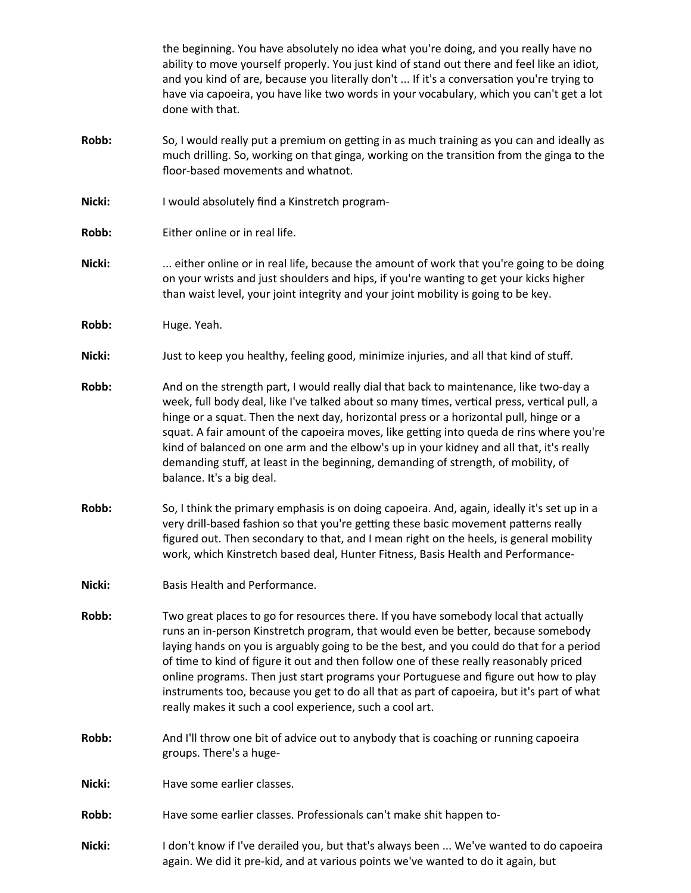|        | the beginning. You have absolutely no idea what you're doing, and you really have no<br>ability to move yourself properly. You just kind of stand out there and feel like an idiot,<br>and you kind of are, because you literally don't  If it's a conversation you're trying to<br>have via capoeira, you have like two words in your vocabulary, which you can't get a lot<br>done with that.                                                                                                                                                                                                                   |
|--------|-------------------------------------------------------------------------------------------------------------------------------------------------------------------------------------------------------------------------------------------------------------------------------------------------------------------------------------------------------------------------------------------------------------------------------------------------------------------------------------------------------------------------------------------------------------------------------------------------------------------|
| Robb:  | So, I would really put a premium on getting in as much training as you can and ideally as<br>much drilling. So, working on that ginga, working on the transition from the ginga to the<br>floor-based movements and whatnot.                                                                                                                                                                                                                                                                                                                                                                                      |
| Nicki: | I would absolutely find a Kinstretch program-                                                                                                                                                                                                                                                                                                                                                                                                                                                                                                                                                                     |
| Robb:  | Either online or in real life.                                                                                                                                                                                                                                                                                                                                                                                                                                                                                                                                                                                    |
| Nicki: | either online or in real life, because the amount of work that you're going to be doing<br>on your wrists and just shoulders and hips, if you're wanting to get your kicks higher<br>than waist level, your joint integrity and your joint mobility is going to be key.                                                                                                                                                                                                                                                                                                                                           |
| Robb:  | Huge. Yeah.                                                                                                                                                                                                                                                                                                                                                                                                                                                                                                                                                                                                       |
| Nicki: | Just to keep you healthy, feeling good, minimize injuries, and all that kind of stuff.                                                                                                                                                                                                                                                                                                                                                                                                                                                                                                                            |
| Robb:  | And on the strength part, I would really dial that back to maintenance, like two-day a<br>week, full body deal, like I've talked about so many times, vertical press, vertical pull, a<br>hinge or a squat. Then the next day, horizontal press or a horizontal pull, hinge or a<br>squat. A fair amount of the capoeira moves, like getting into queda de rins where you're<br>kind of balanced on one arm and the elbow's up in your kidney and all that, it's really<br>demanding stuff, at least in the beginning, demanding of strength, of mobility, of<br>balance. It's a big deal.                        |
| Robb:  | So, I think the primary emphasis is on doing capoeira. And, again, ideally it's set up in a<br>very drill-based fashion so that you're getting these basic movement patterns really<br>figured out. Then secondary to that, and I mean right on the heels, is general mobility<br>work, which Kinstretch based deal, Hunter Fitness, Basis Health and Performance-                                                                                                                                                                                                                                                |
| Nicki: | Basis Health and Performance.                                                                                                                                                                                                                                                                                                                                                                                                                                                                                                                                                                                     |
| Robb:  | Two great places to go for resources there. If you have somebody local that actually<br>runs an in-person Kinstretch program, that would even be better, because somebody<br>laying hands on you is arguably going to be the best, and you could do that for a period<br>of time to kind of figure it out and then follow one of these really reasonably priced<br>online programs. Then just start programs your Portuguese and figure out how to play<br>instruments too, because you get to do all that as part of capoeira, but it's part of what<br>really makes it such a cool experience, such a cool art. |
| Robb:  | And I'll throw one bit of advice out to anybody that is coaching or running capoeira<br>groups. There's a huge-                                                                                                                                                                                                                                                                                                                                                                                                                                                                                                   |
| Nicki: | Have some earlier classes.                                                                                                                                                                                                                                                                                                                                                                                                                                                                                                                                                                                        |
| Robb:  | Have some earlier classes. Professionals can't make shit happen to-                                                                                                                                                                                                                                                                                                                                                                                                                                                                                                                                               |
| Nicki: | I don't know if I've derailed you, but that's always been  We've wanted to do capoeira<br>again. We did it pre-kid, and at various points we've wanted to do it again, but                                                                                                                                                                                                                                                                                                                                                                                                                                        |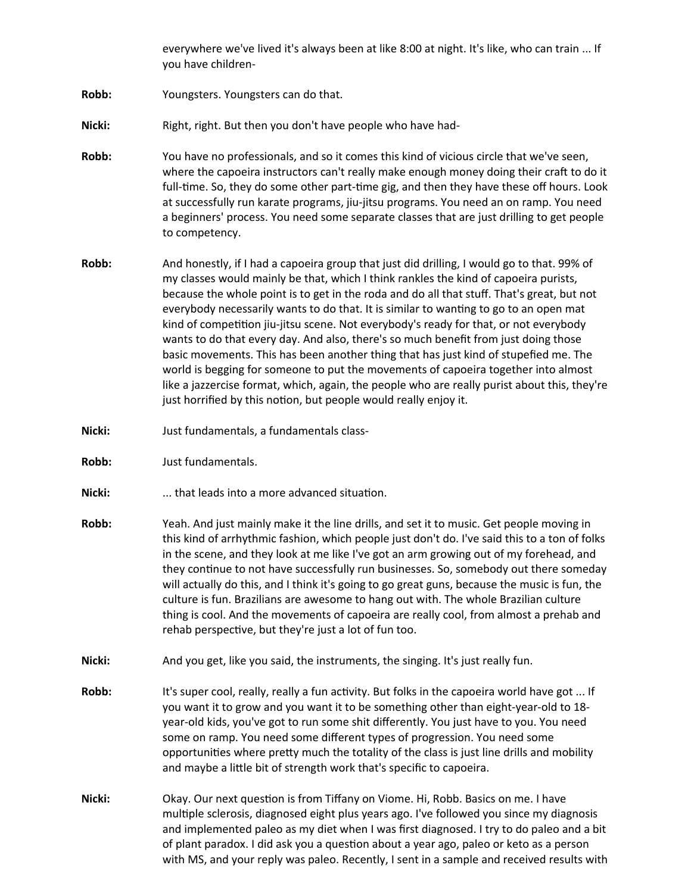everywhere we've lived it's always been at like 8:00 at night. It's like, who can train ... If you have children-

- **Robb:** Youngsters. Youngsters can do that.
- Nicki: Right, right. But then you don't have people who have had-
- **Robb:** You have no professionals, and so it comes this kind of vicious circle that we've seen, where the capoeira instructors can't really make enough money doing their craft to do it full-time. So, they do some other part-time gig, and then they have these off hours. Look at successfully run karate programs, jiu-jitsu programs. You need an on ramp. You need a beginners' process. You need some separate classes that are just drilling to get people to competency.
- **Robb:** And honestly, if I had a capoeira group that just did drilling, I would go to that. 99% of my classes would mainly be that, which I think rankles the kind of capoeira purists, because the whole point is to get in the roda and do all that stuff. That's great, but not everybody necessarily wants to do that. It is similar to wanting to go to an open mat kind of competition jiu-jitsu scene. Not everybody's ready for that, or not everybody wants to do that every day. And also, there's so much benefit from just doing those basic movements. This has been another thing that has just kind of stupefied me. The world is begging for someone to put the movements of capoeira together into almost like a jazzercise format, which, again, the people who are really purist about this, they're just horrified by this notion, but people would really enjoy it.
- **Nicki:** Just fundamentals, a fundamentals class-
- **Robb:** Just fundamentals.
- **Nicki:** ... that leads into a more advanced situation.
- **Robb:** Yeah. And just mainly make it the line drills, and set it to music. Get people moving in this kind of arrhythmic fashion, which people just don't do. I've said this to a ton of folks in the scene, and they look at me like I've got an arm growing out of my forehead, and they continue to not have successfully run businesses. So, somebody out there someday will actually do this, and I think it's going to go great guns, because the music is fun, the culture is fun. Brazilians are awesome to hang out with. The whole Brazilian culture thing is cool. And the movements of capoeira are really cool, from almost a prehab and rehab perspective, but they're just a lot of fun too.
- **Nicki:** And you get, like you said, the instruments, the singing. It's just really fun.
- **Robb:** It's super cool, really, really a fun activity. But folks in the capoeira world have got ... If you want it to grow and you want it to be something other than eight-year-old to 18 year-old kids, you've got to run some shit differently. You just have to you. You need some on ramp. You need some different types of progression. You need some opportunities where pretty much the totality of the class is just line drills and mobility and maybe a little bit of strength work that's specific to capoeira.
- **Nicki:** Okay. Our next question is from Tiffany on Viome. Hi, Robb. Basics on me. I have multiple sclerosis, diagnosed eight plus years ago. I've followed you since my diagnosis and implemented paleo as my diet when I was first diagnosed. I try to do paleo and a bit of plant paradox. I did ask you a question about a year ago, paleo or keto as a person with MS, and your reply was paleo. Recently, I sent in a sample and received results with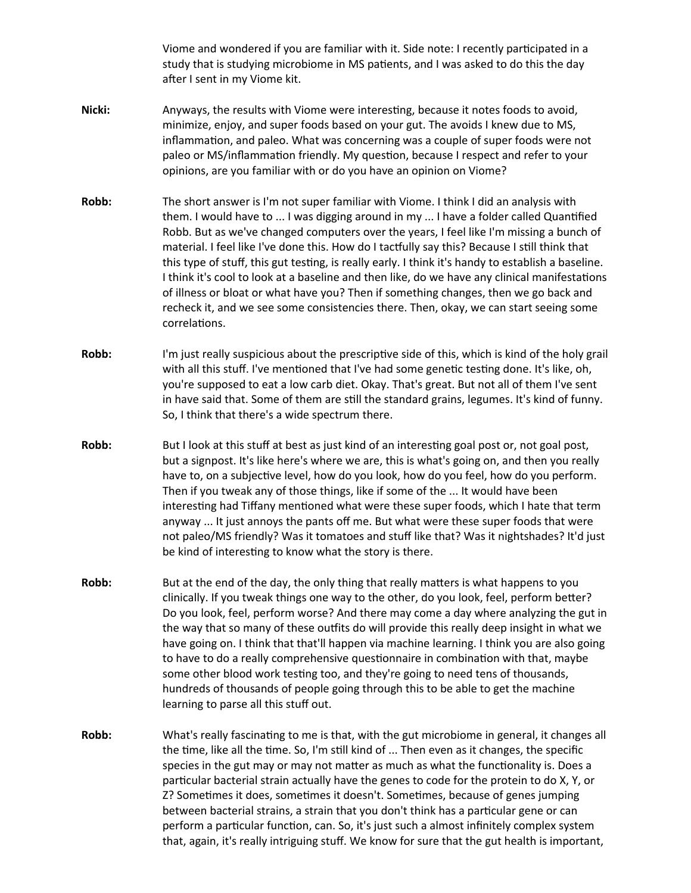Viome and wondered if you are familiar with it. Side note: I recently participated in a study that is studying microbiome in MS patients, and I was asked to do this the day after I sent in my Viome kit.

- **Nicki:** Anyways, the results with Viome were interesting, because it notes foods to avoid, minimize, enjoy, and super foods based on your gut. The avoids I knew due to MS, inflammation, and paleo. What was concerning was a couple of super foods were not paleo or MS/inflammation friendly. My question, because I respect and refer to your opinions, are you familiar with or do you have an opinion on Viome?
- **Robb:** The short answer is I'm not super familiar with Viome. I think I did an analysis with them. I would have to ... I was digging around in my ... I have a folder called Quantified Robb. But as we've changed computers over the years, I feel like I'm missing a bunch of material. I feel like I've done this. How do I tactfully say this? Because I still think that this type of stuff, this gut testing, is really early. I think it's handy to establish a baseline. I think it's cool to look at a baseline and then like, do we have any clinical manifestations of illness or bloat or what have you? Then if something changes, then we go back and recheck it, and we see some consistencies there. Then, okay, we can start seeing some correlations.
- **Robb:** I'm just really suspicious about the prescriptive side of this, which is kind of the holy grail with all this stuff. I've mentioned that I've had some genetic testing done. It's like, oh, you're supposed to eat a low carb diet. Okay. That's great. But not all of them I've sent in have said that. Some of them are still the standard grains, legumes. It's kind of funny. So, I think that there's a wide spectrum there.
- **Robb:** But I look at this stuff at best as just kind of an interesting goal post or, not goal post, but a signpost. It's like here's where we are, this is what's going on, and then you really have to, on a subjective level, how do you look, how do you feel, how do you perform. Then if you tweak any of those things, like if some of the ... It would have been interesting had Tiffany mentioned what were these super foods, which I hate that term anyway ... It just annoys the pants off me. But what were these super foods that were not paleo/MS friendly? Was it tomatoes and stuff like that? Was it nightshades? It'd just be kind of interesting to know what the story is there.
- **Robb:** But at the end of the day, the only thing that really matters is what happens to you clinically. If you tweak things one way to the other, do you look, feel, perform better? Do you look, feel, perform worse? And there may come a day where analyzing the gut in the way that so many of these outfits do will provide this really deep insight in what we have going on. I think that that'll happen via machine learning. I think you are also going to have to do a really comprehensive questionnaire in combination with that, maybe some other blood work testing too, and they're going to need tens of thousands, hundreds of thousands of people going through this to be able to get the machine learning to parse all this stuff out.
- **Robb:** What's really fascinating to me is that, with the gut microbiome in general, it changes all the time, like all the time. So, I'm still kind of ... Then even as it changes, the specific species in the gut may or may not matter as much as what the functionality is. Does a particular bacterial strain actually have the genes to code for the protein to do X, Y, or Z? Sometimes it does, sometimes it doesn't. Sometimes, because of genes jumping between bacterial strains, a strain that you don't think has a particular gene or can perform a particular function, can. So, it's just such a almost infinitely complex system that, again, it's really intriguing stuff. We know for sure that the gut health is important,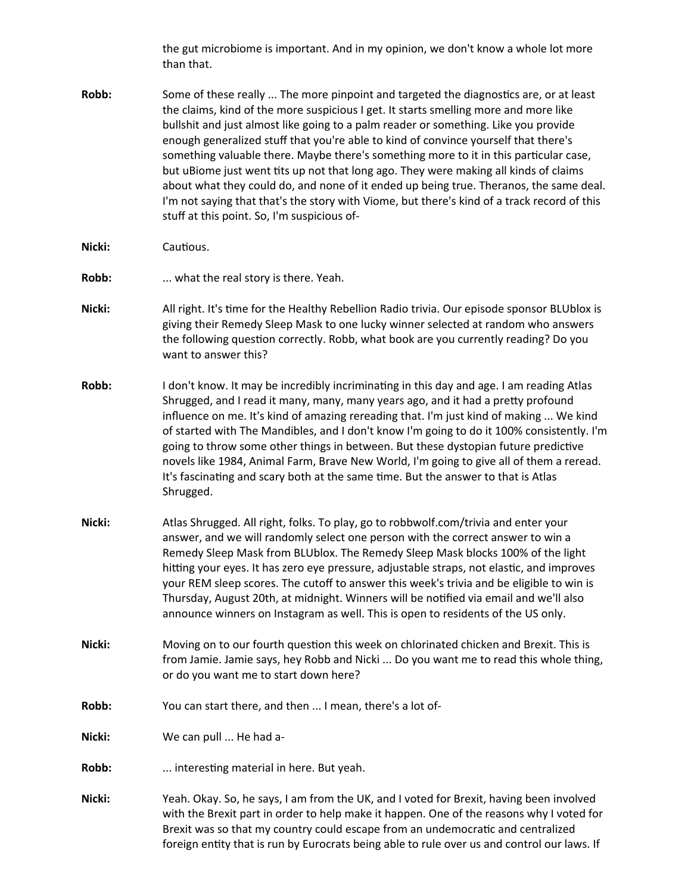the gut microbiome is important. And in my opinion, we don't know a whole lot more than that.

- **Robb:** Some of these really ... The more pinpoint and targeted the diagnostics are, or at least the claims, kind of the more suspicious I get. It starts smelling more and more like bullshit and just almost like going to a palm reader or something. Like you provide enough generalized stuff that you're able to kind of convince yourself that there's something valuable there. Maybe there's something more to it in this particular case, but uBiome just went tits up not that long ago. They were making all kinds of claims about what they could do, and none of it ended up being true. Theranos, the same deal. I'm not saying that that's the story with Viome, but there's kind of a track record of this stuff at this point. So, I'm suspicious of-
- **Nicki:** Cautious.
- **Robb:** ... what the real story is there. Yeah.
- **Nicki:** All right. It's time for the Healthy Rebellion Radio trivia. Our episode sponsor BLUblox is giving their Remedy Sleep Mask to one lucky winner selected at random who answers the following question correctly. Robb, what book are you currently reading? Do you want to answer this?
- **Robb:** I don't know. It may be incredibly incriminating in this day and age. I am reading Atlas Shrugged, and I read it many, many, many years ago, and it had a pretty profound influence on me. It's kind of amazing rereading that. I'm just kind of making ... We kind of started with The Mandibles, and I don't know I'm going to do it 100% consistently. I'm going to throw some other things in between. But these dystopian future predictive novels like 1984, Animal Farm, Brave New World, I'm going to give all of them a reread. It's fascinating and scary both at the same time. But the answer to that is Atlas Shrugged.
- **Nicki:** Atlas Shrugged. All right, folks. To play, go to robbwolf.com/trivia and enter your answer, and we will randomly select one person with the correct answer to win a Remedy Sleep Mask from BLUblox. The Remedy Sleep Mask blocks 100% of the light hitting your eyes. It has zero eye pressure, adjustable straps, not elastic, and improves your REM sleep scores. The cutoff to answer this week's trivia and be eligible to win is Thursday, August 20th, at midnight. Winners will be notified via email and we'll also announce winners on Instagram as well. This is open to residents of the US only.
- **Nicki:** Moving on to our fourth question this week on chlorinated chicken and Brexit. This is from Jamie. Jamie says, hey Robb and Nicki ... Do you want me to read this whole thing, or do you want me to start down here?
- **Robb:** You can start there, and then ... I mean, there's a lot of-
- **Nicki:** We can pull ... He had a-
- **Robb:** ... interesting material in here. But yeah.
- **Nicki:** Yeah. Okay. So, he says, I am from the UK, and I voted for Brexit, having been involved with the Brexit part in order to help make it happen. One of the reasons why I voted for Brexit was so that my country could escape from an undemocratic and centralized foreign entity that is run by Eurocrats being able to rule over us and control our laws. If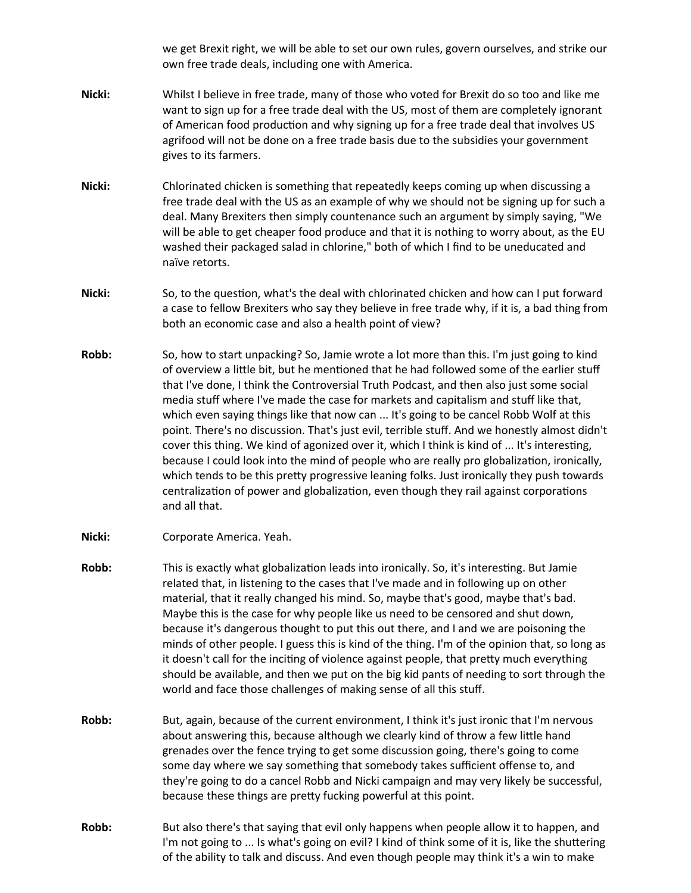we get Brexit right, we will be able to set our own rules, govern ourselves, and strike our own free trade deals, including one with America.

- **Nicki:** Whilst I believe in free trade, many of those who voted for Brexit do so too and like me want to sign up for a free trade deal with the US, most of them are completely ignorant of American food production and why signing up for a free trade deal that involves US agrifood will not be done on a free trade basis due to the subsidies your government gives to its farmers.
- **Nicki:** Chlorinated chicken is something that repeatedly keeps coming up when discussing a free trade deal with the US as an example of why we should not be signing up for such a deal. Many Brexiters then simply countenance such an argument by simply saying, "We will be able to get cheaper food produce and that it is nothing to worry about, as the EU washed their packaged salad in chlorine," both of which I find to be uneducated and naïve retorts.
- **Nicki:** So, to the question, what's the deal with chlorinated chicken and how can I put forward a case to fellow Brexiters who say they believe in free trade why, if it is, a bad thing from both an economic case and also a health point of view?
- **Robb:** So, how to start unpacking? So, Jamie wrote a lot more than this. I'm just going to kind of overview a little bit, but he mentioned that he had followed some of the earlier stuff that I've done, I think the Controversial Truth Podcast, and then also just some social media stuff where I've made the case for markets and capitalism and stuff like that, which even saying things like that now can ... It's going to be cancel Robb Wolf at this point. There's no discussion. That's just evil, terrible stuff. And we honestly almost didn't cover this thing. We kind of agonized over it, which I think is kind of ... It's interesting, because I could look into the mind of people who are really pro globalization, ironically, which tends to be this pretty progressive leaning folks. Just ironically they push towards centralization of power and globalization, even though they rail against corporations and all that.
- **Nicki:** Corporate America. Yeah.
- **Robb:** This is exactly what globalization leads into ironically. So, it's interesting. But Jamie related that, in listening to the cases that I've made and in following up on other material, that it really changed his mind. So, maybe that's good, maybe that's bad. Maybe this is the case for why people like us need to be censored and shut down, because it's dangerous thought to put this out there, and I and we are poisoning the minds of other people. I guess this is kind of the thing. I'm of the opinion that, so long as it doesn't call for the inciting of violence against people, that pretty much everything should be available, and then we put on the big kid pants of needing to sort through the world and face those challenges of making sense of all this stuff.
- **Robb:** But, again, because of the current environment, I think it's just ironic that I'm nervous about answering this, because although we clearly kind of throw a few little hand grenades over the fence trying to get some discussion going, there's going to come some day where we say something that somebody takes sufficient offense to, and they're going to do a cancel Robb and Nicki campaign and may very likely be successful, because these things are pretty fucking powerful at this point.
- **Robb:** But also there's that saying that evil only happens when people allow it to happen, and I'm not going to ... Is what's going on evil? I kind of think some of it is, like the shuttering of the ability to talk and discuss. And even though people may think it's a win to make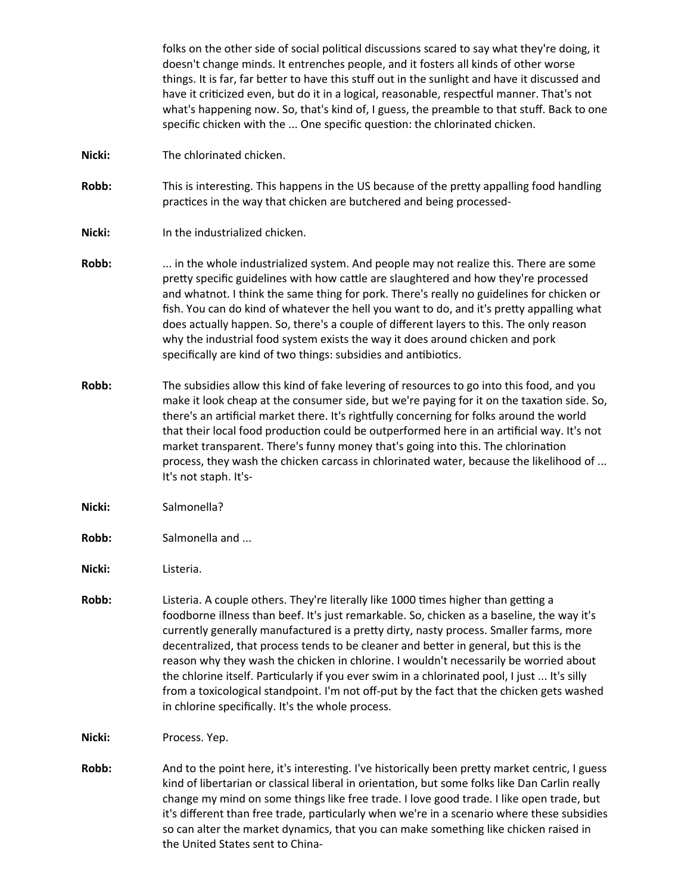folks on the other side of social political discussions scared to say what they're doing, it doesn't change minds. It entrenches people, and it fosters all kinds of other worse things. It is far, far better to have this stuff out in the sunlight and have it discussed and have it criticized even, but do it in a logical, reasonable, respectful manner. That's not what's happening now. So, that's kind of, I guess, the preamble to that stuff. Back to one specific chicken with the ... One specific question: the chlorinated chicken. **Nicki:** The chlorinated chicken. **Robb:** This is interesting. This happens in the US because of the pretty appalling food handling practices in the way that chicken are butchered and being processed-**Nicki:** In the industrialized chicken. **Robb:** ... in the whole industrialized system. And people may not realize this. There are some pretty specific guidelines with how cattle are slaughtered and how they're processed and whatnot. I think the same thing for pork. There's really no guidelines for chicken or fish. You can do kind of whatever the hell you want to do, and it's pretty appalling what does actually happen. So, there's a couple of different layers to this. The only reason why the industrial food system exists the way it does around chicken and pork specifically are kind of two things: subsidies and antibiotics. **Robb:** The subsidies allow this kind of fake levering of resources to go into this food, and you make it look cheap at the consumer side, but we're paying for it on the taxation side. So, there's an artificial market there. It's rightfully concerning for folks around the world that their local food production could be outperformed here in an artificial way. It's not market transparent. There's funny money that's going into this. The chlorination process, they wash the chicken carcass in chlorinated water, because the likelihood of ... It's not staph. It's-**Nicki:** Salmonella?

- Robb: Salmonella and ...
- **Nicki:** Listeria.
- **Robb:** Listeria. A couple others. They're literally like 1000 times higher than getting a foodborne illness than beef. It's just remarkable. So, chicken as a baseline, the way it's currently generally manufactured is a pretty dirty, nasty process. Smaller farms, more decentralized, that process tends to be cleaner and better in general, but this is the reason why they wash the chicken in chlorine. I wouldn't necessarily be worried about the chlorine itself. Particularly if you ever swim in a chlorinated pool, I just ... It's silly from a toxicological standpoint. I'm not off-put by the fact that the chicken gets washed in chlorine specifically. It's the whole process.
- **Nicki:** Process. Yep.
- **Robb:** And to the point here, it's interesting. I've historically been pretty market centric, I guess kind of libertarian or classical liberal in orientation, but some folks like Dan Carlin really change my mind on some things like free trade. I love good trade. I like open trade, but it's different than free trade, particularly when we're in a scenario where these subsidies so can alter the market dynamics, that you can make something like chicken raised in the United States sent to China-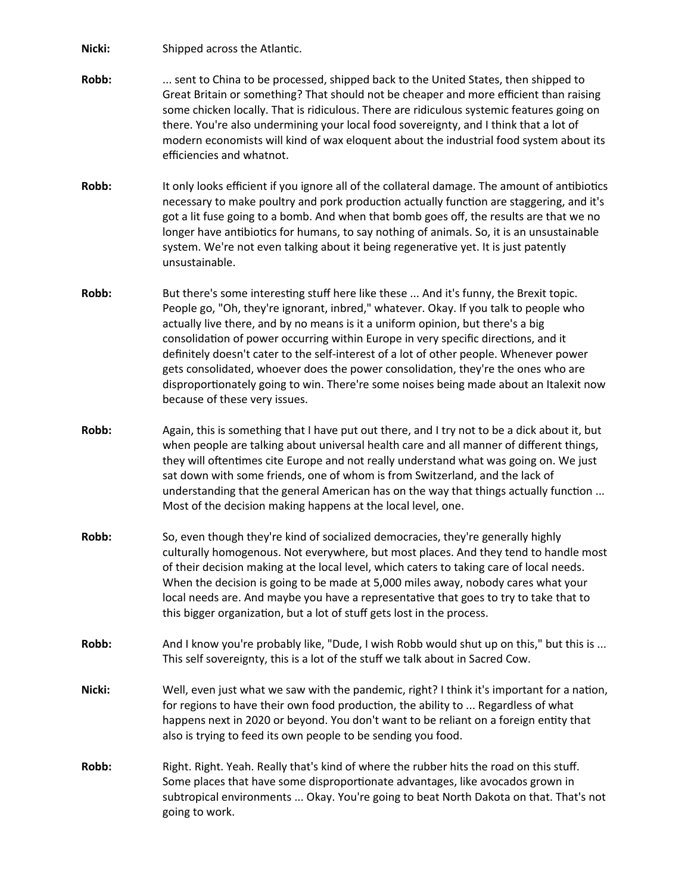**Nicki:** Shipped across the Atlantic.

- **Robb:** ... sent to China to be processed, shipped back to the United States, then shipped to Great Britain or something? That should not be cheaper and more efficient than raising some chicken locally. That is ridiculous. There are ridiculous systemic features going on there. You're also undermining your local food sovereignty, and I think that a lot of modern economists will kind of wax eloquent about the industrial food system about its efficiencies and whatnot.
- **Robb:** It only looks efficient if you ignore all of the collateral damage. The amount of antibiotics necessary to make poultry and pork production actually function are staggering, and it's got a lit fuse going to a bomb. And when that bomb goes off, the results are that we no longer have antibiotics for humans, to say nothing of animals. So, it is an unsustainable system. We're not even talking about it being regenerative yet. It is just patently unsustainable.
- **Robb:** But there's some interesting stuff here like these ... And it's funny, the Brexit topic. People go, "Oh, they're ignorant, inbred," whatever. Okay. If you talk to people who actually live there, and by no means is it a uniform opinion, but there's a big consolidation of power occurring within Europe in very specific directions, and it definitely doesn't cater to the self-interest of a lot of other people. Whenever power gets consolidated, whoever does the power consolidation, they're the ones who are disproportionately going to win. There're some noises being made about an Italexit now because of these very issues.
- **Robb:** Again, this is something that I have put out there, and I try not to be a dick about it, but when people are talking about universal health care and all manner of different things, they will oftentimes cite Europe and not really understand what was going on. We just sat down with some friends, one of whom is from Switzerland, and the lack of understanding that the general American has on the way that things actually function ... Most of the decision making happens at the local level, one.
- **Robb:** So, even though they're kind of socialized democracies, they're generally highly culturally homogenous. Not everywhere, but most places. And they tend to handle most of their decision making at the local level, which caters to taking care of local needs. When the decision is going to be made at 5,000 miles away, nobody cares what your local needs are. And maybe you have a representative that goes to try to take that to this bigger organization, but a lot of stuff gets lost in the process.
- Robb: And I know you're probably like, "Dude, I wish Robb would shut up on this," but this is ... This self sovereignty, this is a lot of the stuff we talk about in Sacred Cow.
- **Nicki:** Well, even just what we saw with the pandemic, right? I think it's important for a nation, for regions to have their own food production, the ability to ... Regardless of what happens next in 2020 or beyond. You don't want to be reliant on a foreign entity that also is trying to feed its own people to be sending you food.
- **Robb:** Right. Right. Yeah. Really that's kind of where the rubber hits the road on this stuff. Some places that have some disproportionate advantages, like avocados grown in subtropical environments ... Okay. You're going to beat North Dakota on that. That's not going to work.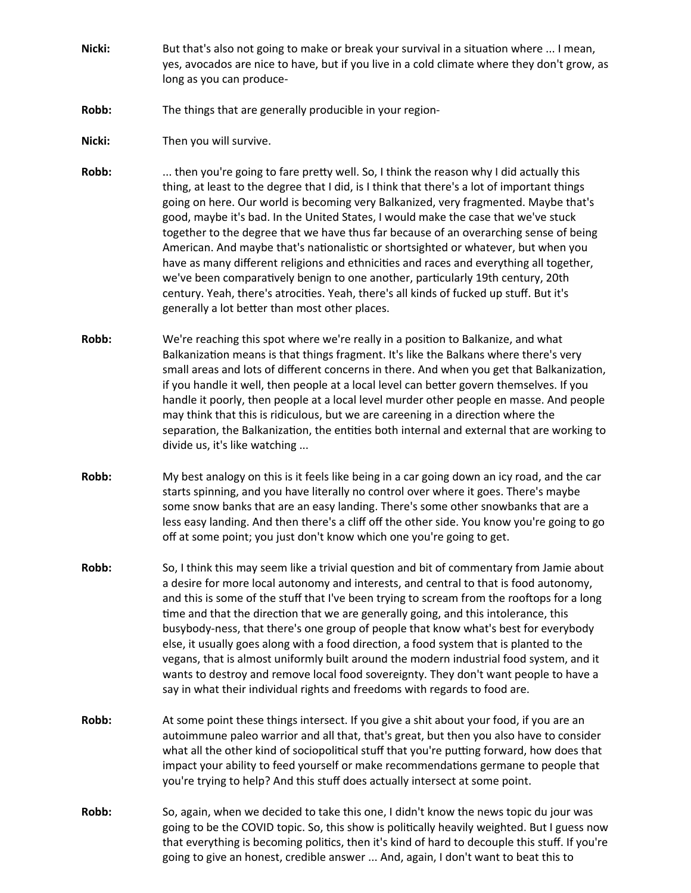- **Nicki:** But that's also not going to make or break your survival in a situation where ... I mean, yes, avocados are nice to have, but if you live in a cold climate where they don't grow, as long as you can produce-
- **Robb:** The things that are generally producible in your region-
- **Nicki:** Then you will survive.
- **Robb:** ... then you're going to fare pretty well. So, I think the reason why I did actually this thing, at least to the degree that I did, is I think that there's a lot of important things going on here. Our world is becoming very Balkanized, very fragmented. Maybe that's good, maybe it's bad. In the United States, I would make the case that we've stuck together to the degree that we have thus far because of an overarching sense of being American. And maybe that's nationalistic or shortsighted or whatever, but when you have as many different religions and ethnicities and races and everything all together, we've been comparatively benign to one another, particularly 19th century, 20th century. Yeah, there's atrocities. Yeah, there's all kinds of fucked up stuff. But it's generally a lot better than most other places.
- **Robb:** We're reaching this spot where we're really in a position to Balkanize, and what Balkanization means is that things fragment. It's like the Balkans where there's very small areas and lots of different concerns in there. And when you get that Balkanization, if you handle it well, then people at a local level can better govern themselves. If you handle it poorly, then people at a local level murder other people en masse. And people may think that this is ridiculous, but we are careening in a direction where the separation, the Balkanization, the entities both internal and external that are working to divide us, it's like watching ...
- **Robb:** My best analogy on this is it feels like being in a car going down an icy road, and the car starts spinning, and you have literally no control over where it goes. There's maybe some snow banks that are an easy landing. There's some other snowbanks that are a less easy landing. And then there's a cliff off the other side. You know you're going to go off at some point; you just don't know which one you're going to get.
- **Robb:** So, I think this may seem like a trivial question and bit of commentary from Jamie about a desire for more local autonomy and interests, and central to that is food autonomy, and this is some of the stuff that I've been trying to scream from the rooftops for a long time and that the direction that we are generally going, and this intolerance, this busybody-ness, that there's one group of people that know what's best for everybody else, it usually goes along with a food direction, a food system that is planted to the vegans, that is almost uniformly built around the modern industrial food system, and it wants to destroy and remove local food sovereignty. They don't want people to have a say in what their individual rights and freedoms with regards to food are.
- **Robb:** At some point these things intersect. If you give a shit about your food, if you are an autoimmune paleo warrior and all that, that's great, but then you also have to consider what all the other kind of sociopolitical stuff that you're putting forward, how does that impact your ability to feed yourself or make recommendations germane to people that you're trying to help? And this stuff does actually intersect at some point.
- **Robb:** So, again, when we decided to take this one, I didn't know the news topic du jour was going to be the COVID topic. So, this show is politically heavily weighted. But I guess now that everything is becoming politics, then it's kind of hard to decouple this stuff. If you're going to give an honest, credible answer ... And, again, I don't want to beat this to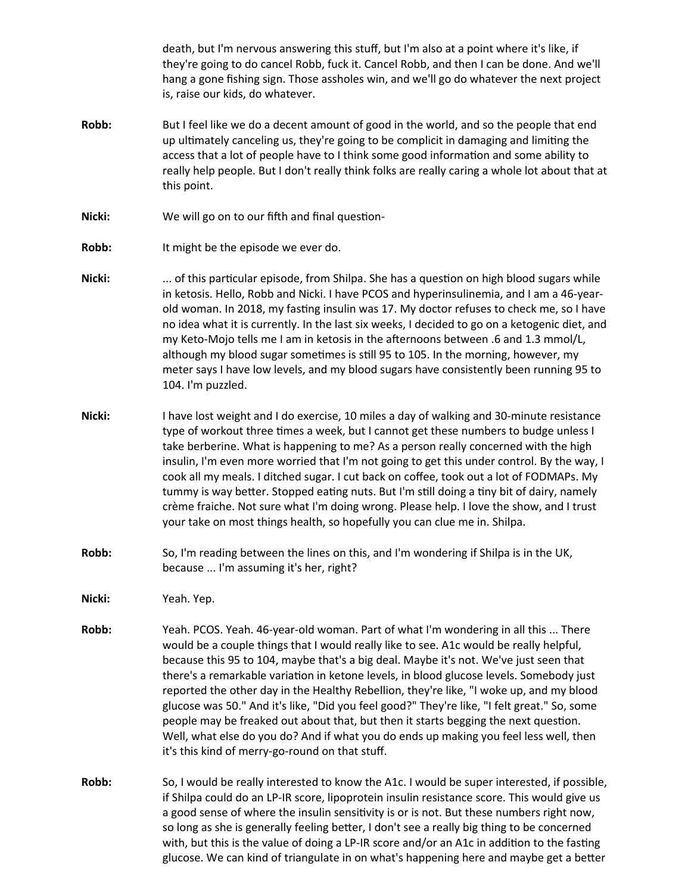death, but I'm nervous answering this stuff, but I'm also at a point where it's like, if they're going to do cancel Robb, fuck it. Cancel Robb, and then I can be done. And we'll hang a gone fishing sign. Those assholes win, and we'll go do whatever the next project is, raise our kids, do whatever.

- **Robb:** But I feel like we do a decent amount of good in the world, and so the people that end up ultimately canceling us, they're going to be complicit in damaging and limiting the access that a lot of people have to I think some good information and some ability to really help people. But I don't really think folks are really caring a whole lot about that at this point.
- **Nicki:** We will go on to our fifth and final question-
- **Robb:** It might be the episode we ever do.
- **Nicki:** ... of this particular episode, from Shilpa. She has a question on high blood sugars while in ketosis. Hello, Robb and Nicki. I have PCOS and hyperinsulinemia, and I am a 46-yearold woman. In 2018, my fasting insulin was 17. My doctor refuses to check me, so I have no idea what it is currently. In the last six weeks, I decided to go on a ketogenic diet, and my Keto-Mojo tells me I am in ketosis in the afternoons between .6 and 1.3 mmol/L, although my blood sugar sometimes is still 95 to 105. In the morning, however, my meter says I have low levels, and my blood sugars have consistently been running 95 to 104. I'm puzzled.
- **Nicki:** I have lost weight and I do exercise, 10 miles a day of walking and 30-minute resistance type of workout three times a week, but I cannot get these numbers to budge unless I take berberine. What is happening to me? As a person really concerned with the high insulin, I'm even more worried that I'm not going to get this under control. By the way, I cook all my meals. I ditched sugar. I cut back on coffee, took out a lot of FODMAPs. My tummy is way better. Stopped eating nuts. But I'm still doing a tiny bit of dairy, namely crème fraiche. Not sure what I'm doing wrong. Please help. I love the show, and I trust your take on most things health, so hopefully you can clue me in. Shilpa.
- **Robb:** So, I'm reading between the lines on this, and I'm wondering if Shilpa is in the UK, because ... I'm assuming it's her, right?
- **Nicki:** Yeah. Yep.
- **Robb:** Yeah. PCOS. Yeah. 46-year-old woman. Part of what I'm wondering in all this ... There would be a couple things that I would really like to see. A1c would be really helpful, because this 95 to 104, maybe that's a big deal. Maybe it's not. We've just seen that there's a remarkable variation in ketone levels, in blood glucose levels. Somebody just reported the other day in the Healthy Rebellion, they're like, "I woke up, and my blood glucose was 50." And it's like, "Did you feel good?" They're like, "I felt great." So, some people may be freaked out about that, but then it starts begging the next question. Well, what else do you do? And if what you do ends up making you feel less well, then it's this kind of merry-go-round on that stuff.
- **Robb:** So, I would be really interested to know the A1c. I would be super interested, if possible, if Shilpa could do an LP-IR score, lipoprotein insulin resistance score. This would give us a good sense of where the insulin sensitivity is or is not. But these numbers right now, so long as she is generally feeling better, I don't see a really big thing to be concerned with, but this is the value of doing a LP-IR score and/or an A1c in addition to the fasting glucose. We can kind of triangulate in on what's happening here and maybe get a better